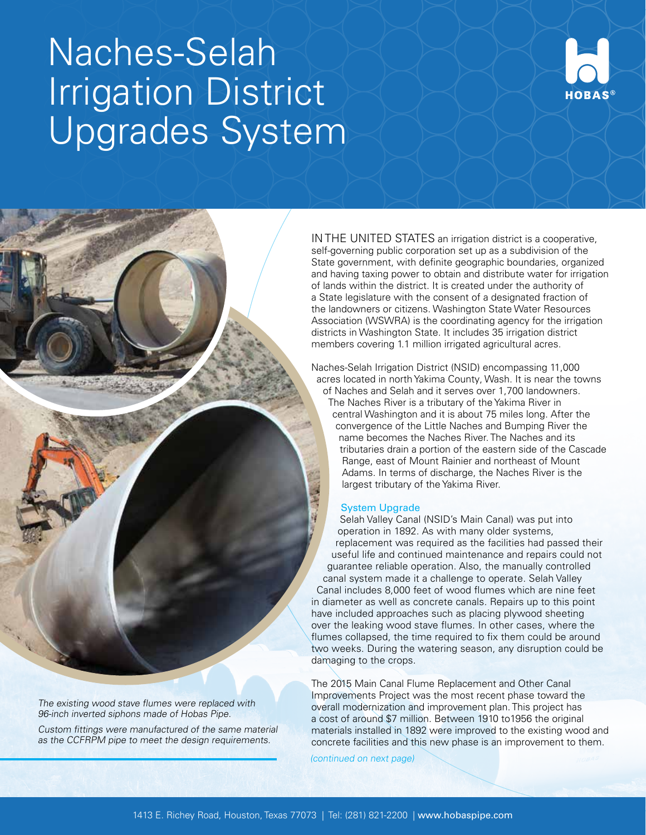## Naches-Selah Irrigation District Upgrades System



IN THE UNITED STATES an irrigation district is a cooperative, self-governing public corporation set up as a subdivision of the State government, with definite geographic boundaries, organized and having taxing power to obtain and distribute water for irrigation of lands within the district. It is created under the authority of a State legislature with the consent of a designated fraction of the landowners or citizens. Washington State Water Resources Association (WSWRA) is the coordinating agency for the irrigation districts in Washington State. It includes 35 irrigation district members covering 1.1 million irrigated agricultural acres.

Naches-Selah Irrigation District (NSID) encompassing 11,000 acres located in north Yakima County, Wash. It is near the towns of Naches and Selah and it serves over 1,700 landowners. The Naches River is a tributary of the Yakima River in central Washington and it is about 75 miles long. After the convergence of the Little Naches and Bumping River the name becomes the Naches River. The Naches and its tributaries drain a portion of the eastern side of the Cascade Range, east of Mount Rainier and northeast of Mount Adams. In terms of discharge, the Naches River is the largest tributary of the Yakima River.

## System Upgrade

Selah Valley Canal (NSID's Main Canal) was put into operation in 1892. As with many older systems, replacement was required as the facilities had passed their useful life and continued maintenance and repairs could not guarantee reliable operation. Also, the manually controlled canal system made it a challenge to operate. Selah Valley Canal includes 8,000 feet of wood flumes which are nine feet in diameter as well as concrete canals. Repairs up to this point have included approaches such as placing plywood sheeting over the leaking wood stave flumes. In other cases, where the flumes collapsed, the time required to fix them could be around two weeks. During the watering season, any disruption could be damaging to the crops.

The 2015 Main Canal Flume Replacement and Other Canal Improvements Project was the most recent phase toward the overall modernization and improvement plan. This project has a cost of around \$7 million. Between 1910 to1956 the original materials installed in 1892 were improved to the existing wood and concrete facilities and this new phase is an improvement to them.

(continued on next page)

96-inch inverted siphons made of Hobas Pipe.

The existing wood stave flumes were replaced with

Custom fittings were manufactured of the same material as the CCFRPM pipe to meet the design requirements.